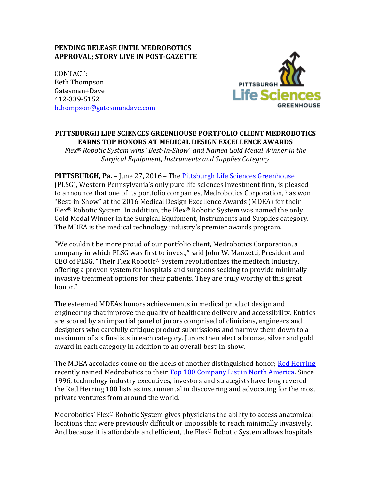## **PENDING RELEASE UNTIL MEDROBOTICS APPROVAL; STORY LIVE IN POST-GAZETTE**

CONTACT: Beth Thompson Gatesman+Dave 412-339-5152 [bthompson@gatesmandave.com](mailto:bthompson@gatesmandave.com)



# **PITTSBURGH LIFE SCIENCES GREENHOUSE PORTFOLIO CLIENT MEDROBOTICS EARNS TOP HONORS AT MEDICAL DESIGN EXCELLENCE AWARDS**

*Flex® Robotic System wins "Best-In-Show" and Named Gold Medal Winner in the Surgical Equipment, Instruments and Supplies Category*

#### **PITTSBURGH, Pa.** – June 27, 2016 – The [Pittsburgh Life Sciences Greenhouse](http://www.plsg.com/home-page-2/)

(PLSG), Western Pennsylvania's only pure life sciences investment firm, is pleased to announce that one of its portfolio companies, Medrobotics Corporation, has won "Best-in-Show" at the 2016 Medical Design Excellence Awards (MDEA) for their Flex® Robotic System. In addition, the Flex® Robotic System was named the only Gold Medal Winner in the Surgical Equipment, Instruments and Supplies category. The MDEA is the medical technology industry's premier awards program.

"We couldn't be more proud of our portfolio client, Medrobotics Corporation, a company in which PLSG was first to invest," said John W. Manzetti, President and CEO of PLSG. "Their Flex Robotic® System revolutionizes the medtech industry, offering a proven system for hospitals and surgeons seeking to provide minimallyinvasive treatment options for their patients. They are truly worthy of this great honor."

The esteemed MDEAs honors achievements in medical product design and engineering that improve the quality of healthcare delivery and accessibility. Entries are scored by an impartial panel of jurors comprised of clinicians, engineers and designers who carefully critique product submissions and narrow them down to a maximum of six finalists in each category. Jurors then elect a bronze, silver and gold award in each category in addition to an overall best-in-show.

The MDEA accolades come on the heels of another distinguished honor; [Red Herring](http://www.redherring.com/) recently named Medrobotics to their [Top 100 Company List in North America.](http://www.redherring.com/events/rhna/2016-shortlist/) Since 1996, technology industry executives, investors and strategists have long revered the Red Herring 100 lists as instrumental in discovering and advocating for the most private ventures from around the world.

Medrobotics' Flex<sup>®</sup> Robotic System gives physicians the ability to access anatomical locations that were previously difficult or impossible to reach minimally invasively. And because it is affordable and efficient, the Flex® Robotic System allows hospitals